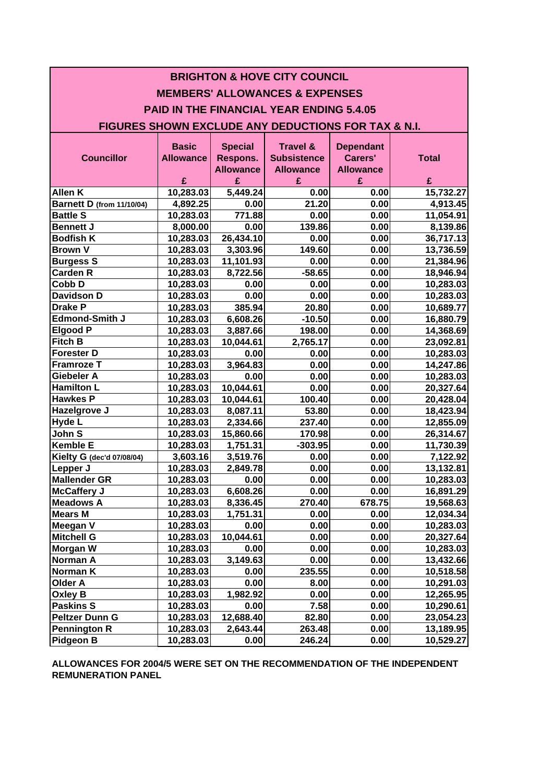| <b>BRIGHTON &amp; HOVE CITY COUNCIL</b>                        |                  |                  |                     |                  |              |  |  |
|----------------------------------------------------------------|------------------|------------------|---------------------|------------------|--------------|--|--|
| <b>MEMBERS' ALLOWANCES &amp; EXPENSES</b>                      |                  |                  |                     |                  |              |  |  |
| <b>PAID IN THE FINANCIAL YEAR ENDING 5.4.05</b>                |                  |                  |                     |                  |              |  |  |
|                                                                |                  |                  |                     |                  |              |  |  |
| <b>FIGURES SHOWN EXCLUDE ANY DEDUCTIONS FOR TAX &amp; N.I.</b> |                  |                  |                     |                  |              |  |  |
|                                                                | <b>Basic</b>     | <b>Special</b>   | <b>Travel &amp;</b> | <b>Dependant</b> |              |  |  |
| <b>Councillor</b>                                              | <b>Allowance</b> | Respons.         | <b>Subsistence</b>  | Carers'          | <b>Total</b> |  |  |
|                                                                |                  | <b>Allowance</b> | <b>Allowance</b>    | <b>Allowance</b> |              |  |  |
|                                                                | £                | £                | £                   | £                | £            |  |  |
| <b>Allen K</b>                                                 | 10,283.03        | 5,449.24         | 0.00                | 0.00             | 15,732.27    |  |  |
| <b>Barnett D (from 11/10/04)</b>                               | 4,892.25         | 0.00             | 21.20               | 0.00             | 4,913.45     |  |  |
| <b>Battle S</b>                                                | 10,283.03        | 771.88           | 0.00                | 0.00             | 11,054.91    |  |  |
| <b>Bennett J</b>                                               | 8,000.00         | 0.00             | 139.86              | 0.00             | 8,139.86     |  |  |
| <b>Bodfish K</b>                                               | 10,283.03        | 26,434.10        | 0.00                | 0.00             | 36,717.13    |  |  |
| <b>Brown V</b>                                                 | 10,283.03        | 3,303.96         | 149.60              | 0.00             | 13,736.59    |  |  |
| <b>Burgess S</b>                                               | 10,283.03        | 11,101.93        | 0.00                | 0.00             | 21,384.96    |  |  |
| <b>Carden R</b>                                                | 10,283.03        | 8,722.56         | $-58.65$            | 0.00             | 18,946.94    |  |  |
| Cobb D                                                         | 10,283.03        | 0.00             | 0.00                | 0.00             | 10,283.03    |  |  |
| <b>Davidson D</b>                                              | 10,283.03        | 0.00             | 0.00                | 0.00             | 10,283.03    |  |  |
| <b>Drake P</b>                                                 | 10,283.03        | 385.94           | 20.80               | 0.00             | 10,689.77    |  |  |
| <b>Edmond-Smith J</b>                                          | 10,283.03        | 6,608.26         | $-10.50$            | 0.00             | 16,880.79    |  |  |
| <b>Elgood P</b>                                                | 10,283.03        | 3,887.66         | 198.00              | 0.00             | 14,368.69    |  |  |
| <b>Fitch B</b>                                                 | 10,283.03        | 10,044.61        | 2,765.17            | 0.00             | 23,092.81    |  |  |
| <b>Forester D</b>                                              | 10,283.03        | 0.00             | 0.00                | 0.00             | 10,283.03    |  |  |
| <b>Framroze T</b>                                              | 10,283.03        | 3,964.83         | 0.00                | 0.00             | 14,247.86    |  |  |
| Giebeler A                                                     | 10,283.03        | 0.00             | 0.00                | 0.00             | 10,283.03    |  |  |
| <b>Hamilton L</b>                                              | 10,283.03        | 10,044.61        | 0.00                | 0.00             | 20,327.64    |  |  |
| <b>Hawkes P</b>                                                | 10,283.03        | 10,044.61        | 100.40              | 0.00             | 20,428.04    |  |  |
| Hazelgrove J                                                   | 10,283.03        | 8,087.11         | 53.80               | 0.00             | 18,423.94    |  |  |
| <b>Hyde L</b>                                                  | 10,283.03        | 2,334.66         | 237.40              | 0.00             | 12,855.09    |  |  |
| John S                                                         | 10,283.03        | 15,860.66        | 170.98              | 0.00             | 26,314.67    |  |  |
| <b>Kemble E</b>                                                | 10,283.03        | 1,751.31         | $-303.95$           | 0.00             | 11,730.39    |  |  |
| Kielty G (dec'd 07/08/04)                                      | 3,603.16         | 3,519.76         | 0.00                | 0.00             | 7,122.92     |  |  |
| Lepper J                                                       | 10,283.03        | 2,849.78         | 0.00                | 0.00             | 13,132.81    |  |  |
| <b>Mallender GR</b>                                            | 10,283.03        | 0.00             | 0.00                | 0.00             | 10,283.03    |  |  |
| <b>McCaffery J</b>                                             | 10,283.03        | 6,608.26         | 0.00                | 0.00             | 16,891.29    |  |  |
| <b>Meadows A</b>                                               | 10,283.03        | 8,336.45         | 270.40              | 678.75           | 19,568.63    |  |  |
| <b>Mears M</b>                                                 | 10,283.03        | 1,751.31         | 0.00                | 0.00             | 12,034.34    |  |  |
| Meegan V                                                       | 10,283.03        | 0.00             | 0.00                | 0.00             | 10,283.03    |  |  |
| <b>Mitchell G</b>                                              | 10,283.03        | 10,044.61        | 0.00                | 0.00             | 20,327.64    |  |  |
| Morgan W                                                       | 10,283.03        | 0.00             | 0.00                | 0.00             | 10,283.03    |  |  |
| Norman A                                                       | 10,283.03        | 3,149.63         | 0.00                | 0.00             | 13,432.66    |  |  |
| <b>Norman K</b>                                                | 10,283.03        | 0.00             | 235.55              | 0.00             | 10,518.58    |  |  |
| Older A                                                        | 10,283.03        | 0.00             | 8.00                | 0.00             | 10,291.03    |  |  |
| <b>Oxley B</b>                                                 | 10,283.03        | 1,982.92         | 0.00                | 0.00             | 12,265.95    |  |  |
| <b>Paskins S</b>                                               | 10,283.03        | 0.00             | 7.58                | 0.00             | 10,290.61    |  |  |
| <b>Peltzer Dunn G</b>                                          | 10,283.03        | 12,688.40        | 82.80               | 0.00             | 23,054.23    |  |  |
| <b>Pennington R</b>                                            | 10,283.03        | 2,643.44         | 263.48              | 0.00             | 13,189.95    |  |  |
| <b>Pidgeon B</b>                                               | 10,283.03        | 0.00             | 246.24              | 0.00             | 10,529.27    |  |  |

**REMUNERATION PANEL ALLOWANCES FOR 2004/5 WERE SET ON THE RECOMMENDATION OF THE INDEPENDENT**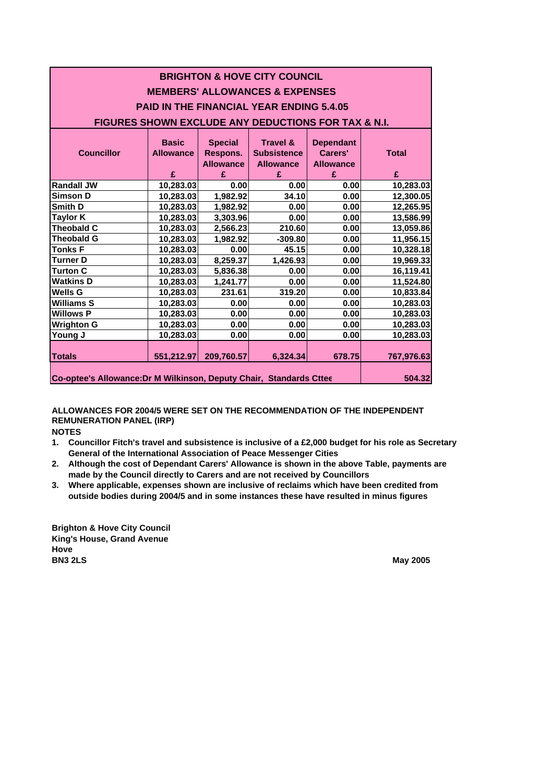| <b>BRIGHTON &amp; HOVE CITY COUNCIL</b>                                       |                  |                  |                     |                  |              |  |  |
|-------------------------------------------------------------------------------|------------------|------------------|---------------------|------------------|--------------|--|--|
| <b>MEMBERS' ALLOWANCES &amp; EXPENSES</b>                                     |                  |                  |                     |                  |              |  |  |
| <b>PAID IN THE FINANCIAL YEAR ENDING 5.4.05</b>                               |                  |                  |                     |                  |              |  |  |
| <b>FIGURES SHOWN EXCLUDE ANY DEDUCTIONS FOR TAX &amp; N.I.</b>                |                  |                  |                     |                  |              |  |  |
|                                                                               |                  |                  |                     |                  |              |  |  |
|                                                                               | <b>Basic</b>     | <b>Special</b>   | <b>Travel &amp;</b> | <b>Dependant</b> |              |  |  |
| <b>Councillor</b>                                                             | <b>Allowance</b> | Respons.         | <b>Subsistence</b>  | Carers'          | <b>Total</b> |  |  |
|                                                                               |                  | <b>Allowance</b> | <b>Allowance</b>    | <b>Allowance</b> |              |  |  |
|                                                                               | £                | £                | £                   | £                | £            |  |  |
| <b>Randall JW</b>                                                             | 10,283.03        | 0.00             | 0.00                | 0.00             | 10,283.03    |  |  |
| <b>Simson D</b>                                                               | 10,283.03        | 1,982.92         | 34.10               | 0.00             | 12,300.05    |  |  |
| Smith D                                                                       | 10,283.03        | 1,982.92         | 0.00                | 0.00             | 12,265.95    |  |  |
| <b>Taylor K</b>                                                               | 10,283.03        | 3,303.96         | 0.00                | 0.00             | 13,586.99    |  |  |
| <b>Theobald C</b>                                                             | 10,283.03        | 2,566.23         | 210.60              | 0.00             | 13,059.86    |  |  |
| <b>Theobald G</b>                                                             | 10,283.03        | 1.982.92         | $-309.80$           | 0.00             | 11,956.15    |  |  |
| <b>Tonks F</b>                                                                | 10,283.03        | 0.00             | 45.15               | 0.00             | 10,328.18    |  |  |
| <b>Turner D</b>                                                               | 10,283.03        | 8,259.37         | 1,426.93            | 0.00             | 19,969.33    |  |  |
| <b>Turton C</b>                                                               | 10,283.03        | 5,836.38         | 0.00                | 0.00             | 16,119.41    |  |  |
| <b>Watkins D</b>                                                              | 10,283.03        | 1,241.77         | 0.00                | 0.00             | 11,524.80    |  |  |
| <b>Wells G</b>                                                                | 10,283.03        | 231.61           | 319.20              | 0.00             | 10,833.84    |  |  |
| <b>Williams S</b>                                                             | 10,283.03        | 0.00             | 0.00                | 0.00             | 10,283.03    |  |  |
| <b>Willows P</b>                                                              | 10,283.03        | 0.00             | 0.00                | 0.00             | 10,283.03    |  |  |
| <b>Wrighton G</b>                                                             | 10,283.03        | 0.00             | 0.00                | 0.00             | 10,283.03    |  |  |
| Young J                                                                       | 10,283.03        | 0.00             | 0.00                | 0.00             | 10,283.03    |  |  |
|                                                                               |                  |                  |                     |                  |              |  |  |
| <b>Totals</b>                                                                 | 551,212.97       | 209,760.57       | 6,324.34            | 678.75           | 767,976.63   |  |  |
| Co-optee's Allowance: Dr M Wilkinson, Deputy Chair, Standards Cttee<br>504.32 |                  |                  |                     |                  |              |  |  |

## **ALLOWANCES FOR 2004/5 WERE SET ON THE RECOMMENDATION OF THE INDEPENDENT REMUNERATION PANEL (IRP)**

**NOTES**

- **1. Councillor Fitch's travel and subsistence is inclusive of a £2,000 budget for his role as Secretary General of the International Association of Peace Messenger Cities**
- **2. Although the cost of Dependant Carers' Allowance is shown in the above Table, payments are made by the Council directly to Carers and are not received by Councillors**
- **outside bodies during 2004/5 and in some instances these have resulted in minus figures 3. Where applicable, expenses shown are inclusive of reclaims which have been credited from**

**BN3 2LS May 2005 Brighton & Hove City Council King's House, Grand Avenue Hove**